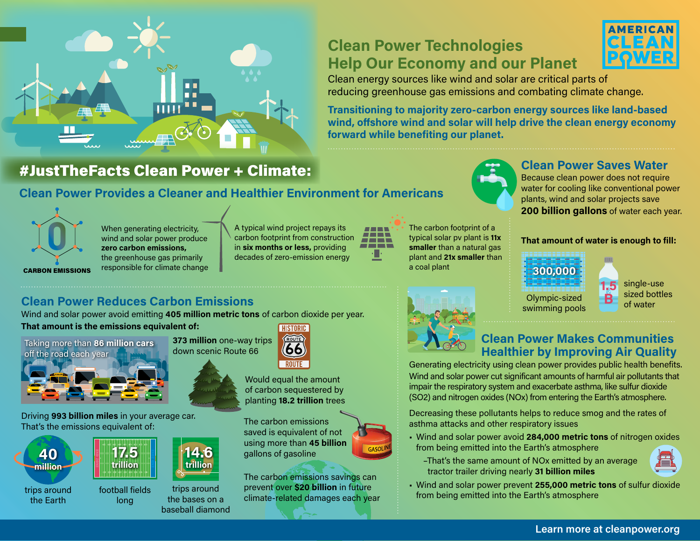# **Clean Power Technologies Help Our Economy and our Planet**



Clean energy sources like wind and solar are critical parts of reducing greenhouse gas emissions and combating climate change.

**Transitioning to majority zero-carbon energy sources like land-based wind, offshore wind and solar will help drive the clean energy economy forward while benefiting our planet.**

# #JustTheFacts Clean Power + Climate:

ши

Ŧ O F n n

## **Clean Power Provides a Cleaner and Healthier Environment for Americans**



When generating electricity, wind and solar power produce **zero carbon emissions,** the greenhouse gas primarily responsible for climate change A typical wind project repays its carbon footprint from construction in **six months or less,** providing decades of zero-emission energy

| <b>STATE AND STATE</b> | <b>Service Service</b><br><b>Service Service</b> |  |
|------------------------|--------------------------------------------------|--|
|                        |                                                  |  |
|                        |                                                  |  |
|                        |                                                  |  |

The carbon footprint of a typical solar pv plant is **11x smaller** than a natural gas plant and **21x smaller** than a coal plant



Because clean power does not require water for cooling like conventional power plants, wind and solar projects save **200 billion gallons** of water each year.

#### **That amount of water is enough to fill:**

**B**



**1.5** single-use sized bottles of water

## **Clean Power Reduces Carbon Emissions**

Wind and solar power avoid emitting **405 million metric tons** of carbon dioxide per year. **That amount is the emissions equivalent of: HISTORIC** 



Driving **993 billion miles** in your average car. That's the emissions equivalent of:



trips around the Earth



football fields long



ROUTE Would equal the amount

ROUTE (66)

of carbon sequestered by planting **18.2 trillion** trees

The carbon emissions saved is equivalent of not using more than **45 billion** gallons of gasoline

The carbon emissions savings can prevent over **\$20 billion** in future climate-related damages each year



### **Clean Power Makes Communities Healthier by Improving Air Quality**

Generating electricity using clean power provides public health benefits. Wind and solar power cut significant amounts of harmful air pollutants that impair the respiratory system and exacerbate asthma, like sulfur dioxide (SO2) and nitrogen oxides (NOx) from entering the Earth's atmosphere.

Decreasing these pollutants helps to reduce smog and the rates of asthma attacks and other respiratory issues

- Wind and solar power avoid **284,000 metric tons** of nitrogen oxides from being emitted into the Earth's atmosphere
	- –That's the same amount of NOx emitted by an average tractor trailer driving nearly **31 billion miles**



• Wind and solar power prevent **255,000 metric tons** of sulfur dioxide from being emitted into the Earth's atmosphere

#### **Learn more at cleanpower.org**

**14.6 trillion**